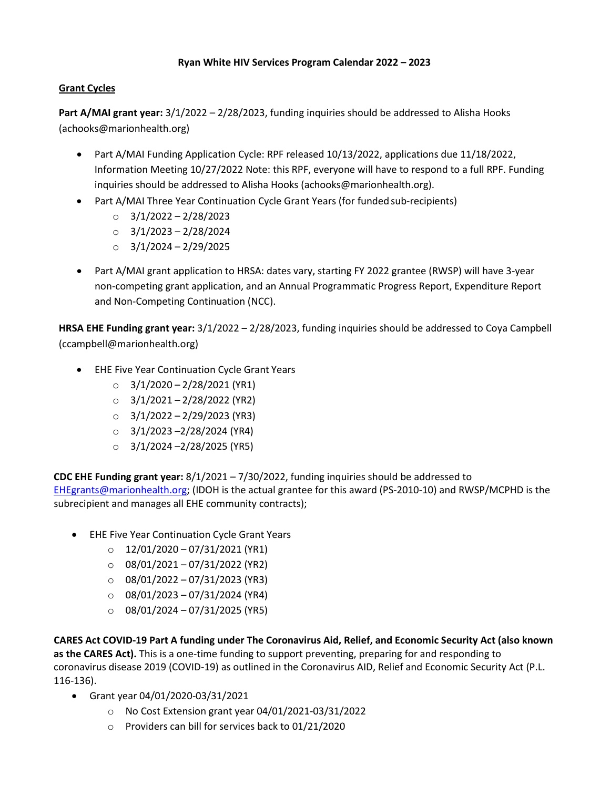## **Ryan White HIV Services Program Calendar 2022 – 2023**

# **Grant Cycles**

**Part A/MAI grant year:** 3/1/2022 – 2/28/2023, funding inquiries should be addressed to Alisha Hooks (achooks@marionhealth.org)

- Part A/MAI Funding Application Cycle: RPF released 10/13/2022, applications due 11/18/2022, Information Meeting 10/27/2022 Note: this RPF, everyone will have to respond to a full RPF. Funding inquiries should be addressed to Alisha Hooks (achooks@marionhealth.org).
- Part A/MAI Three Year Continuation Cycle Grant Years (for funded sub-recipients)
	- o 3/1/2022 2/28/2023
	- $O$  3/1/2023 2/28/2024
	- o 3/1/2024 2/29/2025
- Part A/MAI grant application to HRSA: dates vary, starting FY 2022 grantee (RWSP) will have 3-year non-competing grant application, and an Annual Programmatic Progress Report, Expenditure Report and Non-Competing Continuation (NCC).

**HRSA EHE Funding grant year:** 3/1/2022 – 2/28/2023, funding inquiries should be addressed to Coya Campbell (ccampbell@marionhealth.org)

- EHE Five Year Continuation Cycle Grant Years
	- $\circ$  3/1/2020 2/28/2021 (YR1)
	- $O \qquad 3/1/2021 2/28/2022$  (YR2)
	- $O = 3/1/2022 2/29/2023$  (YR3)
	- $\circ$  3/1/2023 -2/28/2024 (YR4)
	- $\circ$  3/1/2024 –2/28/2025 (YR5)

**CDC EHE Funding grant year:** 8/1/2021 – 7/30/2022, funding inquiries should be addressed to [EHEgrants@marionhealth.org;](mailto:EHEgrants@marionhealth.org) (IDOH is the actual grantee for this award (PS-2010-10) and RWSP/MCPHD is the subrecipient and manages all EHE community contracts);

- EHE Five Year Continuation Cycle Grant Years
	- $O = 12/01/2020 07/31/2021$  (YR1)
	- $O$  08/01/2021 07/31/2022 (YR2)
	- $O = 08/01/2022 07/31/2023$  (YR3)
	- $\circ$  08/01/2023 07/31/2024 (YR4)
	- $O$  08/01/2024 07/31/2025 (YR5)

**CARES Act COVID-19 Part A funding under The Coronavirus Aid, Relief, and Economic Security Act (also known as the CARES Act).** This is a one-time funding to support preventing, preparing for and responding to coronavirus disease 2019 (COVID-19) as outlined in the Coronavirus AID, Relief and Economic Security Act (P.L. 116-136).

- Grant year 04/01/2020-03/31/2021
	- o No Cost Extension grant year 04/01/2021-03/31/2022
	- o Providers can bill for services back to 01/21/2020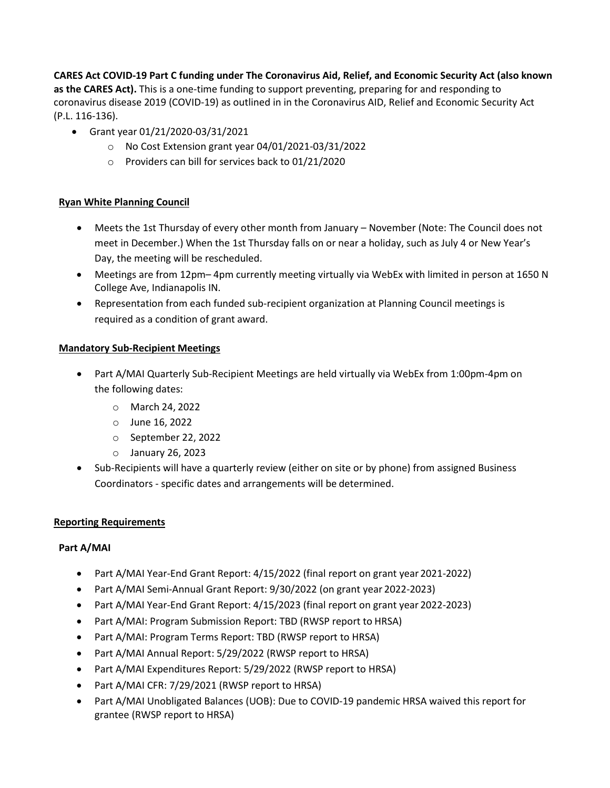**CARES Act COVID-19 Part C funding under The Coronavirus Aid, Relief, and Economic Security Act (also known as the CARES Act).** This is a one-time funding to support preventing, preparing for and responding to coronavirus disease 2019 (COVID-19) as outlined in in the Coronavirus AID, Relief and Economic Security Act (P.L. 116-136).

- Grant year 01/21/2020-03/31/2021
	- o No Cost Extension grant year 04/01/2021-03/31/2022
	- o Providers can bill for services back to 01/21/2020

# **Ryan White Planning Council**

- Meets the 1st Thursday of every other month from January November (Note: The Council does not meet in December.) When the 1st Thursday falls on or near a holiday, such as July 4 or New Year's Day, the meeting will be rescheduled.
- Meetings are from 12pm– 4pm currently meeting virtually via WebEx with limited in person at 1650 N College Ave, Indianapolis IN.
- Representation from each funded sub-recipient organization at Planning Council meetings is required as a condition of grant award.

### **Mandatory Sub-Recipient Meetings**

- Part A/MAI Quarterly Sub-Recipient Meetings are held virtually via WebEx from 1:00pm-4pm on the following dates:
	- o March 24, 2022
	- o June 16, 2022
	- o September 22, 2022
	- o January 26, 2023
- Sub-Recipients will have a quarterly review (either on site or by phone) from assigned Business Coordinators - specific dates and arrangements will be determined.

### **Reporting Requirements**

### **Part A/MAI**

- Part A/MAI Year-End Grant Report: 4/15/2022 (final report on grant year 2021-2022)
- Part A/MAI Semi-Annual Grant Report: 9/30/2022 (on grant year 2022-2023)
- Part A/MAI Year-End Grant Report: 4/15/2023 (final report on grant year 2022-2023)
- Part A/MAI: Program Submission Report: TBD (RWSP report to HRSA)
- Part A/MAI: Program Terms Report: TBD (RWSP report to HRSA)
- Part A/MAI Annual Report: 5/29/2022 (RWSP report to HRSA)
- Part A/MAI Expenditures Report: 5/29/2022 (RWSP report to HRSA)
- Part A/MAI CFR: 7/29/2021 (RWSP report to HRSA)
- Part A/MAI Unobligated Balances (UOB): Due to COVID-19 pandemic HRSA waived this report for grantee (RWSP report to HRSA)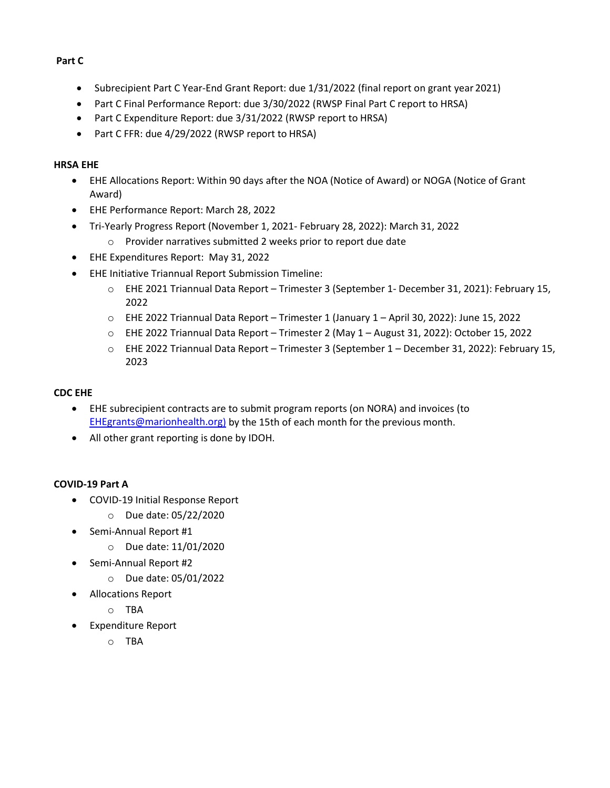### **Part C**

- Subrecipient Part C Year-End Grant Report: due 1/31/2022 (final report on grant year 2021)
- Part C Final Performance Report: due 3/30/2022 (RWSP Final Part C report to HRSA)
- Part C Expenditure Report: due 3/31/2022 (RWSP report to HRSA)
- Part C FFR: due 4/29/2022 (RWSP report to HRSA)

# **HRSA EHE**

- EHE Allocations Report: Within 90 days after the NOA (Notice of Award) or NOGA (Notice of Grant Award)
- EHE Performance Report: March 28, 2022
- Tri-Yearly Progress Report (November 1, 2021- February 28, 2022): March 31, 2022
	- o Provider narratives submitted 2 weeks prior to report due date
- EHE Expenditures Report: May 31, 2022
- EHE Initiative Triannual Report Submission Timeline:
	- o EHE 2021 Triannual Data Report Trimester 3 (September 1- December 31, 2021): February 15, 2022
	- o EHE 2022 Triannual Data Report Trimester 1 (January 1 April 30, 2022): June 15, 2022
	- o EHE 2022 Triannual Data Report Trimester 2 (May 1 August 31, 2022): October 15, 2022
	- o EHE 2022 Triannual Data Report Trimester 3 (September 1 December 31, 2022): February 15, 2023

## **CDC EHE**

- EHE subrecipient contracts are to submit program reports (on NORA) and invoices (to [EHEgrants@marionhealth.org\)](mailto:EHEgrants@marionhealth.org) by the 15th of each month for the previous month.
- All other grant reporting is done by IDOH.

# **COVID-19 Part A**

- COVID-19 Initial Response Report
	- o Due date: 05/22/2020
- Semi-Annual Report #1
	- o Due date: 11/01/2020
- Semi-Annual Report #2
	- o Due date: 05/01/2022
- Allocations Report
	- o TBA
- Expenditure Report
	- o TBA